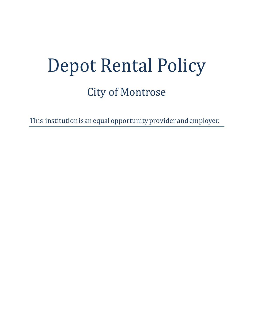# Depot Rental Policy City of Montrose

This institution is an equal opportunity provider and employer.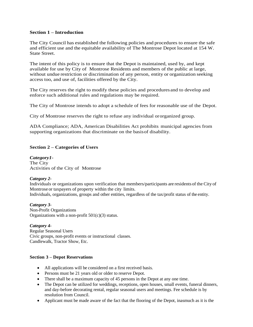## **Section 1 – Introduction**

The City Council has established the following policies and procedures to ensure the safe and efficient use and the equitable availability of The Montrose Depot located at 154 W. State Street.

The intent of this policy is to ensure that the Depot is maintained, used by, and kept available for use by City of Montrose Residents and members of the public at large, without undue restriction or discrimination of any person, entity or organization seeking access too, and use of, facilities offered by the City.

The City reserves the right to modify these policies and procedures and to develop and enforce such additional rules and regulations may be required.

The City of Montrose intends to adopt a schedule of fees for reasonable use of the Depot.

City of Montrose reserves the right to refuse any individual ororganized group.

ADA Compliance; ADA, American Disabilities Act prohibits municipal agencies from supporting organizations that discriminate on the basisof disability.

## **Section 2 – Categories of Users**

*Category1***-** The City Activities of the City of Montrose

#### *Category 2-*

Individuals or organizations upon verification that members/participants are residents of the City of Montrose or taxpayers of property within the city limits. Individuals, organizations, groups and other entities, regardless of the tax/profit status of the entity.

#### *Category 3-*

Non-Profit Organizations Organizations with a non-profit 501(c)(3) status.

#### *Category 4-*

Regular Seasonal Users Civic groups, non-profit events or instructional classes. Candlewalk, Tractor Show, Etc.

## **Section 3 – Depot Reservations**

- All applications will be considered on a first received basis.
- Persons must be 21 years old or older to reserve Depot.
- There shall be a maximum capacity of 45 persons in the Depot at any one time.
- The Depot can be utilized for weddings, receptions, open houses, small events, funeral dinners, and day-before decorating rental, regular seasonal users and meetings. Fee schedule is by resolution from Council.
- Applicant must be made aware of the fact that the flooring of the Depot, inasmuch as it is the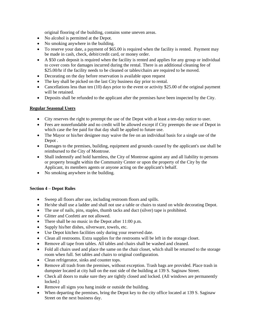original flooring of the building, contains some uneven areas.

- No alcohol is permitted at the Depot.
- No smoking anywhere in the building.
- To reserve your date, a payment of \$65.00 is required when the facility is rented. Payment may be made in cash, check, debit/credit card, or money order.
- A \$50 cash deposit is required when the facility is rented and applies for any group or individual to cover costs for damages incurred during the rental. There is an additional cleaning fee of \$25.00/hr if the facility needs to be cleaned or tables/chairs are required to be moved.
- Decorating on the day before reservation is available upon request
- The key shall be picked on the last City business day prior to rental.
- Cancellations less than ten (10) days prior to the event or activity \$25.00 of the original payment will be retained.
- Deposits shall be refunded to the applicant after the premises have been inspected by the City.

# **Regular Seasonal Users**

- City reserves the right to preempt the use of the Depot with at least a ten-day notice to user.
- Fees are nonrefundable and no credit will be allowed except if City preempts the use of Depot in which case the fee paid for that day shall be applied to future use.
- The Mayor or his/her designee may waive the fee on an individual basis for a single use of the Depot .
- Damages to the premises, building, equipment and grounds caused by the applicant's use shall be reimbursed to the City of Montrose.
- Shall indemnify and hold harmless, the City of Montrose against any and all liability to persons or property brought within the Community Center or upon the property of the City by the Applicant, its members agents or anyone acting on the applicant's behalf.
- No smoking anywhere in the building.

# **Section 4 – Depot Rules**

- Sweep all floors after use, including restroom floors and spills.
- He/she shall use a ladder and shall not use a table or chairs to stand on while decorating Depot.
- The use of nails, pins, staples, thumb tacks and duct (silver) tape is prohibited.
- Glitter and Confetti are not allowed.
- There shall be no music in the Depot after 11:00 p.m.
- Supply his/her dishes, silverware, towels, etc.
- Use Depot kitchen facilities only during your reserved date.
- Clean all restrooms. Extra supplies for the restrooms will be left in the storage closet.
- Remove all tape from tables. All tables and chairs shall be washed and cleaned.
- Fold all chairs used and place the same on the chair closet, which shall be returned to the storage room when full. Set tables and chairs to original configuration.
- Clean refrigerator, sinks and counter tops.
- Remove all trash from the premises, without exception. Trash bags are provided. Place trash in dumpster located at city hall on the east side of the building at 139 S. Saginaw Street.
- Check all doors to make sure they are tightly closed and locked. (All windows are permanently locked.)
- Remove all signs you hang inside or outside the building.
- When departing the premises, bring the Depot key to the city office located at 139 S. Saginaw Street on the next business day.